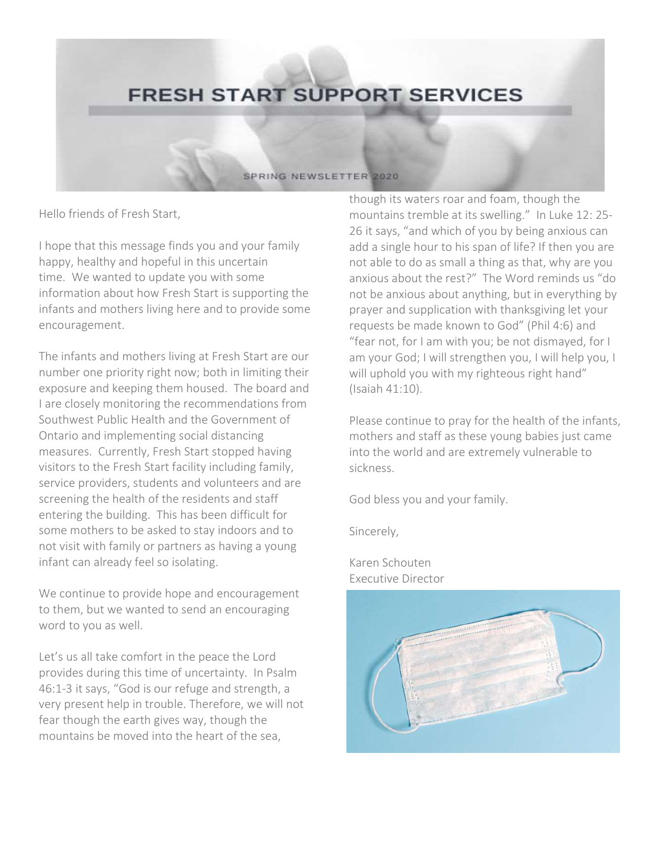## **FRESH START SUPPORT SERVICES**

## SPRING NEWSLETTER 2020

Hello friends of Fresh Start,

I hope that this message finds you and your family happy, healthy and hopeful in this uncertain time. We wanted to update you with some information about how Fresh Start is supporting the infants and mothers living here and to provide some encouragement.

The infants and mothers living at Fresh Start are our number one priority right now; both in limiting their exposure and keeping them housed. The board and I are closely monitoring the recommendations from Southwest Public Health and the Government of Ontario and implementing social distancing measures. Currently, Fresh Start stopped having visitors to the Fresh Start facility including family, service providers, students and volunteers and are screening the health of the residents and staff entering the building. This has been difficult for some mothers to be asked to stay indoors and to not visit with family or partners as having a young infant can already feel so isolating.

We continue to provide hope and encouragement to them, but we wanted to send an encouraging word to you as well.

Let's us all take comfort in the peace the Lord provides during this time of uncertainty. In Psalm 46:1-3 it says, "God is our refuge and strength, a very present help in trouble. Therefore, we will not fear though the earth gives way, though the mountains be moved into the heart of the sea,

though its waters roar and foam, though the mountains tremble at its swelling." In Luke 12: 25- 26 it says, "and which of you by being anxious can add a single hour to his span of life? If then you are not able to do as small a thing as that, why are you anxious about the rest?" The Word reminds us "do not be anxious about anything, but in everything by prayer and supplication with thanksgiving let your requests be made known to God" (Phil 4:6) and "fear not, for I am with you; be not dismayed, for I am your God; I will strengthen you, I will help you, I will uphold you with my righteous right hand" (Isaiah 41:10).

Please continue to pray for the health of the infants, mothers and staff as these young babies just came into the world and are extremely vulnerable to sickness.

God bless you and your family.

Sincerely,

Karen Schouten Executive Director